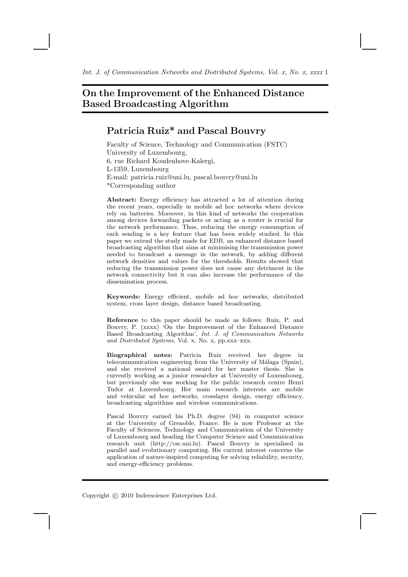# On the Improvement of the Enhanced Distance Based Broadcasting Algorithm

# Patricia Ruiz\* and Pascal Bouvry

Faculty of Science, Technology and Communication (FSTC) University of Luxembourg, 6, rue Richard Koudenhove-Kalergi, L-1359, Luxembourg E-mail: patricia.ruiz@uni.lu, pascal.bouvry@uni.lu \*Corresponding author

Abstract: Energy efficiency has attracted a lot of attention during the recent years, especially in mobile ad hoc networks where devices rely on batteries. Moreover, in this kind of networks the cooperation among devices forwarding packets or acting as a router is crucial for the network performance. Thus, reducing the energy consumption of each sending is a key feature that has been widely studied. In this paper we extend the study made for EDB, an enhanced distance based broadcasting algorithm that aims at minimising the transmission power needed to broadcast a message in the network, by adding different network densities and values for the thresholds. Results showed that reducing the transmission power does not cause any detriment in the network connectivity but it can also increase the performance of the dissemination process.

Keywords: Energy efficient, mobile ad hoc networks, distributed system, cross layer design, distance based broadcasting.

Reference to this paper should be made as follows: Ruiz, P. and Bouvry, P. (xxxx) 'On the Improvement of the Enhanced Distance Based Broadcasting Algorithm', Int. J. of Communication Networks and Distributed Systems, Vol. x, No. x, pp.xxx–xxx.

Biographical notes: Patricia Ruiz received her degree in telecommunication engineering from the University of Málaga (Spain), and she received a national award for her master thesis. She is currently working as a junior researcher at University of Luxembourg, but previously she was working for the public research centre Henri Tudor at Luxembourg. Her main research interests are mobile and vehicular ad hoc networks, crosslayer design, energy efficiency, broadcasting algorithms and wireless communications.

Pascal Bouvry earned his Ph.D. degree (94) in computer science at the University of Grenoble, France. He is now Professor at the Faculty of Sciences, Technology and Communication of the University of Luxembourg and heading the Computer Science and Communication research unit (http://csc.uni.lu). Pascal Bouvry is specialised in parallel and evolutionary computing. His current interest concerns the application of nature-inspired computing for solving reliability, security, and energy-efficiency problems.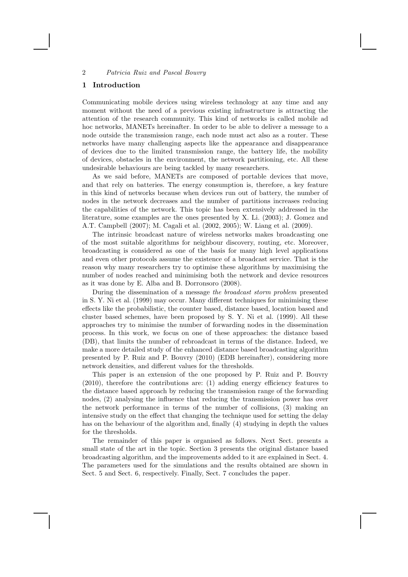## 1 Introduction

Communicating mobile devices using wireless technology at any time and any moment without the need of a previous existing infrastructure is attracting the attention of the research community. This kind of networks is called mobile ad hoc networks, MANETs hereinafter. In order to be able to deliver a message to a node outside the transmission range, each node must act also as a router. These networks have many challenging aspects like the appearance and disappearance of devices due to the limited transmission range, the battery life, the mobility of devices, obstacles in the environment, the network partitioning, etc. All these undesirable behaviours are being tackled by many researchers.

As we said before, MANETs are composed of portable devices that move, and that rely on batteries. The energy consumption is, therefore, a key feature in this kind of networks because when devices run out of battery, the number of nodes in the network decreases and the number of partitions increases reducing the capabilities of the network. This topic has been extensively addressed in the literature, some examples are the ones presented by X. Li. (2003); J. Gomez and A.T. Campbell (2007); M. Cagali et al. (2002, 2005); W. Liang et al. (2009).

The intrinsic broadcast nature of wireless networks makes broadcasting one of the most suitable algorithms for neighbour discovery, routing, etc. Moreover, broadcasting is considered as one of the basis for many high level applications and even other protocols assume the existence of a broadcast service. That is the reason why many researchers try to optimise these algorithms by maximising the number of nodes reached and minimising both the network and device resources as it was done by E. Alba and B. Dorronsoro (2008).

During the dissemination of a message the broadcast storm problem presented in S. Y. Ni et al. (1999) may occur. Many different techniques for minimising these effects like the probabilistic, the counter based, distance based, location based and cluster based schemes, have been proposed by S. Y. Ni et al. (1999). All these approaches try to minimise the number of forwarding nodes in the dissemination process. In this work, we focus on one of these approaches: the distance based (DB), that limits the number of rebroadcast in terms of the distance. Indeed, we make a more detailed study of the enhanced distance based broadcasting algorithm presented by P. Ruiz and P. Bouvry (2010) (EDB hereinafter), considering more network densities, and different values for the thresholds.

This paper is an extension of the one proposed by P. Ruiz and P. Bouvry (2010), therefore the contributions are: (1) adding energy efficiency features to the distance based approach by reducing the transmission range of the forwarding nodes, (2) analysing the influence that reducing the transmission power has over the network performance in terms of the number of collisions, (3) making an intensive study on the effect that changing the technique used for setting the delay has on the behaviour of the algorithm and, finally (4) studying in depth the values for the thresholds.

The remainder of this paper is organised as follows. Next Sect. presents a small state of the art in the topic. Section 3 presents the original distance based broadcasting algorithm, and the improvements added to it are explained in Sect. 4. The parameters used for the simulations and the results obtained are shown in Sect. 5 and Sect. 6, respectively. Finally, Sect. 7 concludes the paper.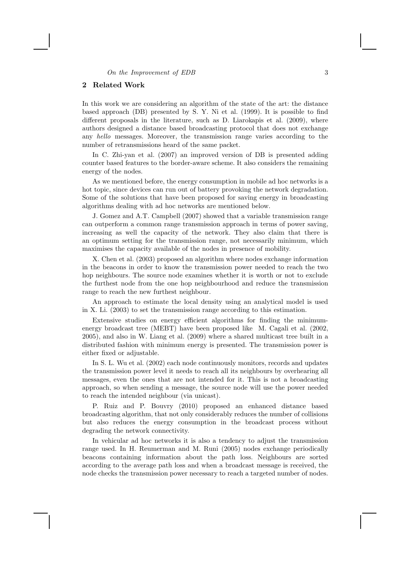#### On the Improvement of EDB 3

# 2 Related Work

In this work we are considering an algorithm of the state of the art: the distance based approach (DB) presented by S. Y. Ni et al. (1999). It is possible to find different proposals in the literature, such as D. Liarokapis et al. (2009), where authors designed a distance based broadcasting protocol that does not exchange any hello messages. Moreover, the transmission range varies according to the number of retransmissions heard of the same packet.

In C. Zhi-yan et al. (2007) an improved version of DB is presented adding counter based features to the border-aware scheme. It also considers the remaining energy of the nodes.

As we mentioned before, the energy consumption in mobile ad hoc networks is a hot topic, since devices can run out of battery provoking the network degradation. Some of the solutions that have been proposed for saving energy in broadcasting algorithms dealing with ad hoc networks are mentioned below.

J. Gomez and A.T. Campbell (2007) showed that a variable transmission range can outperform a common range transmission approach in terms of power saving, increasing as well the capacity of the network. They also claim that there is an optimum setting for the transmission range, not necessarily minimum, which maximises the capacity available of the nodes in presence of mobility.

X. Chen et al. (2003) proposed an algorithm where nodes exchange information in the beacons in order to know the transmission power needed to reach the two hop neighbours. The source node examines whether it is worth or not to exclude the furthest node from the one hop neighbourhood and reduce the transmission range to reach the new furthest neighbour.

An approach to estimate the local density using an analytical model is used in X. Li. (2003) to set the transmission range according to this estimation.

Extensive studies on energy efficient algorithms for finding the minimumenergy broadcast tree (MEBT) have been proposed like M. Cagali et al. (2002, 2005), and also in W. Liang et al. (2009) where a shared multicast tree built in a distributed fashion with minimum energy is presented. The transmission power is either fixed or adjustable.

In S. L. Wu et al. (2002) each node continuously monitors, records and updates the transmission power level it needs to reach all its neighbours by overhearing all messages, even the ones that are not intended for it. This is not a broadcasting approach, so when sending a message, the source node will use the power needed to reach the intended neighbour (via unicast).

P. Ruiz and P. Bouvry (2010) proposed an enhanced distance based broadcasting algorithm, that not only considerably reduces the number of collisions but also reduces the energy consumption in the broadcast process without degrading the network connectivity.

In vehicular ad hoc networks it is also a tendency to adjust the transmission range used. In H. Reumerman and M. Runi (2005) nodes exchange periodically beacons containing information about the path loss. Neighbours are sorted according to the average path loss and when a broadcast message is received, the node checks the transmission power necessary to reach a targeted number of nodes.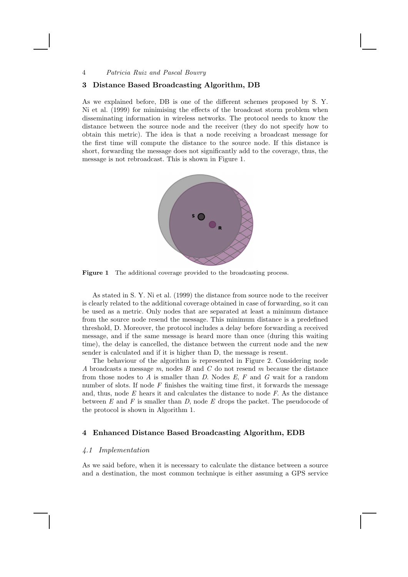## 3 Distance Based Broadcasting Algorithm, DB

As we explained before, DB is one of the different schemes proposed by S. Y. Ni et al. (1999) for minimising the effects of the broadcast storm problem when disseminating information in wireless networks. The protocol needs to know the distance between the source node and the receiver (they do not specify how to obtain this metric). The idea is that a node receiving a broadcast message for the first time will compute the distance to the source node. If this distance is short, forwarding the message does not significantly add to the coverage, thus, the message is not rebroadcast. This is shown in Figure 1.



Figure 1 The additional coverage provided to the broadcasting process.

As stated in S. Y. Ni et al. (1999) the distance from source node to the receiver is clearly related to the additional coverage obtained in case of forwarding, so it can be used as a metric. Only nodes that are separated at least a minimum distance from the source node resend the message. This minimum distance is a predefined threshold, D. Moreover, the protocol includes a delay before forwarding a received message, and if the same message is heard more than once (during this waiting time), the delay is cancelled, the distance between the current node and the new sender is calculated and if it is higher than D, the message is resent.

The behaviour of the algorithm is represented in Figure 2. Considering node A broadcasts a message m, nodes B and C do not resend m because the distance from those nodes to  $A$  is smaller than  $D$ . Nodes  $E$ ,  $F$  and  $G$  wait for a random number of slots. If node  $F$  finishes the waiting time first, it forwards the message and, thus, node  $E$  hears it and calculates the distance to node  $F$ . As the distance between  $E$  and  $F$  is smaller than  $D$ , node  $E$  drops the packet. The pseudocode of the protocol is shown in Algorithm 1.

# 4 Enhanced Distance Based Broadcasting Algorithm, EDB

## 4.1 Implementation

As we said before, when it is necessary to calculate the distance between a source and a destination, the most common technique is either assuming a GPS service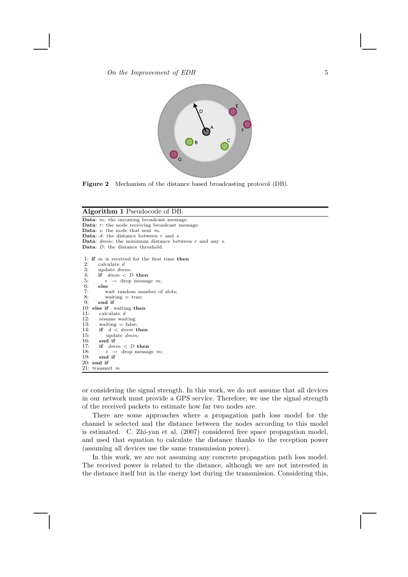$\emph{On the Improvement of EDB}$  5



Figure 2 Mechanism of the distance based broadcasting protocol (DB).

#### Algorithm 1 Pseudocode of DB.

Data: m: the incoming broadcast message. **Data:**  $r$ : the node receiving broadcast message. Data:  $s$ : the node that sent  $m$ . Data:  $d$ : the distance between  $r$  and  $s$ . Data:  $dmin$ : the minimum distance between  $r$  and any  $s$ . Data: D: the distance threshold. 1: if m is received for the first time then<br>2: calculate d 2: calculate  $d$ <br>3: update  $dm$ 3: update  $dmin$ ;<br>4: **if**  $dmin < I$ 4: if  $dmin < D$  then<br>5:  $r \rightarrow drop$  message 5:  $r \rightarrow$  drop message  $m$ ;<br>6: **else** 6: else<br>7: w<br>8: w wait random number of slots; 8: waiting  $=$  true;<br>9: **end if** end if 10: else if waiting then<br>11: calculate  $d$ 11: calculate  $d$ <br>12: resume wai 12: resume waiting<br>13: waiting = false 13: waiting = false;<br>14: **if**  $d < dimin$  then 15: update  $dmin$ ;<br>16: end if end if 17: if  $dmin < D$  then<br>18:  $r \rightarrow drop$  message 18:  $r \rightarrow \text{drop message } m;$ <br>19: end if end if 20: end if 21: transmit m

or considering the signal strength. In this work, we do not assume that all devices in our network must provide a GPS service. Therefore, we use the signal strength of the received packets to estimate how far two nodes are.

There are some approaches where a propagation path loss model for the channel is selected and the distance between the nodes according to this model is estimated. C. Zhi-yan et al. (2007) considered free space propagation model, and used that equation to calculate the distance thanks to the reception power (assuming all devices use the same transmission power).

In this work, we are not assuming any concrete propagation path loss model. The received power is related to the distance, although we are not interested in the distance itself but in the energy lost during the transmission. Considering this,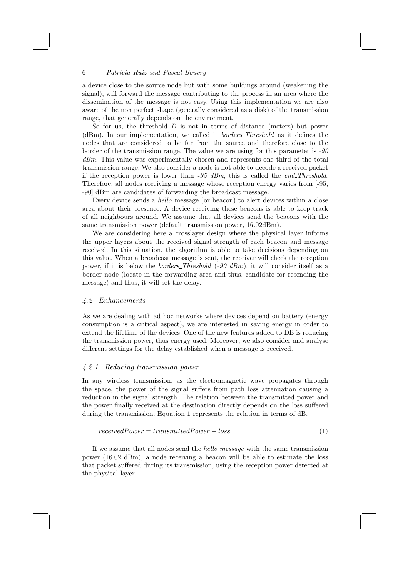a device close to the source node but with some buildings around (weakening the signal), will forward the message contributing to the process in an area where the dissemination of the message is not easy. Using this implementation we are also aware of the non perfect shape (generally considered as a disk) of the transmission range, that generally depends on the environment.

So for us, the threshold  $D$  is not in terms of distance (meters) but power (dBm). In our implementation, we called it borders Threshold as it defines the nodes that are considered to be far from the source and therefore close to the border of the transmission range. The value we are using for this parameter is -90 dBm. This value was experimentally chosen and represents one third of the total transmission range. We also consider a node is not able to decode a received packet if the reception power is lower than  $-95$  dBm, this is called the end Threshold. Therefore, all nodes receiving a message whose reception energy varies from [-95, -90] dBm are candidates of forwarding the broadcast message.

Every device sends a hello message (or beacon) to alert devices within a close area about their presence. A device receiving these beacons is able to keep track of all neighbours around. We assume that all devices send the beacons with the same transmission power (default transmission power, 16.02dBm).

We are considering here a crosslayer design where the physical layer informs the upper layers about the received signal strength of each beacon and message received. In this situation, the algorithm is able to take decisions depending on this value. When a broadcast message is sent, the receiver will check the reception power, if it is below the *borders* Threshold  $(-90 \text{ dBm})$ , it will consider itself as a border node (locate in the forwarding area and thus, candidate for resending the message) and thus, it will set the delay.

### 4.2 Enhancements

As we are dealing with ad hoc networks where devices depend on battery (energy consumption is a critical aspect), we are interested in saving energy in order to extend the lifetime of the devices. One of the new features added to DB is reducing the transmission power, thus energy used. Moreover, we also consider and analyse different settings for the delay established when a message is received.

## 4.2.1 Reducing transmission power

In any wireless transmission, as the electromagnetic wave propagates through the space, the power of the signal suffers from path loss attenuation causing a reduction in the signal strength. The relation between the transmitted power and the power finally received at the destination directly depends on the loss suffered during the transmission. Equation 1 represents the relation in terms of dB.

$$
received Power = transmitted Power - loss \tag{1}
$$

If we assume that all nodes send the hello message with the same transmission power (16.02 dBm), a node receiving a beacon will be able to estimate the loss that packet suffered during its transmission, using the reception power detected at the physical layer.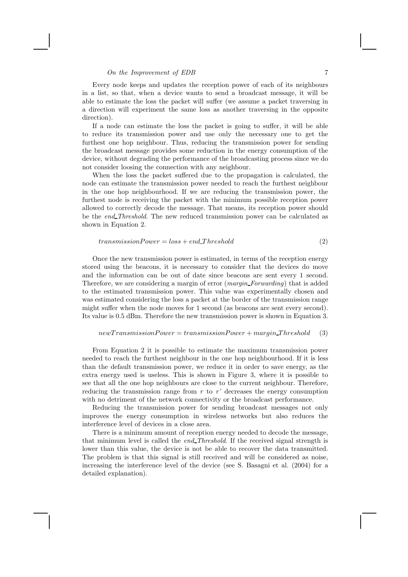## $\mathcal{O}_n$  the Improvement of EDB 7

Every node keeps and updates the reception power of each of its neighbours in a list, so that, when a device wants to send a broadcast message, it will be able to estimate the loss the packet will suffer (we assume a packet traversing in a direction will experiment the same loss as another traversing in the opposite direction).

If a node can estimate the loss the packet is going to suffer, it will be able to reduce its transmission power and use only the necessary one to get the furthest one hop neighbour. Thus, reducing the transmission power for sending the broadcast message provides some reduction in the energy consumption of the device, without degrading the performance of the broadcasting process since we do not consider loosing the connection with any neighbour.

When the loss the packet suffered due to the propagation is calculated, the node can estimate the transmission power needed to reach the furthest neighbour in the one hop neighbourhood. If we are reducing the transmission power, the furthest node is receiving the packet with the minimum possible reception power allowed to correctly decode the message. That means, its reception power should be the end Threshold. The new reduced transmission power can be calculated as shown in Equation 2.

#### $transmissionPower = loss + end\_Threshold$  (2)

Once the new transmission power is estimated, in terms of the reception energy stored using the beacons, it is necessary to consider that the devices do move and the information can be out of date since beacons are sent every 1 second. Therefore, we are considering a margin of error (*margin\_Forwarding*) that is added to the estimated transmission power. This value was experimentally chosen and was estimated considering the loss a packet at the border of the transmission range might suffer when the node moves for 1 second (as beacons are sent every second). Its value is 0.5 dBm. Therefore the new transmission power is shown in Equation 3.

## $new TransmissionPower = transmissionPower + margin\_Threshold$  (3)

From Equation 2 it is possible to estimate the maximum transmission power needed to reach the furthest neighbour in the one hop neighbourhood. If it is less than the default transmission power, we reduce it in order to save energy, as the extra energy used is useless. This is shown in Figure 3, where it is possible to see that all the one hop neighbours are close to the current neighbour. Therefore, reducing the transmission range from  $r$  to  $r'$  decreases the energy consumption with no detriment of the network connectivity or the broadcast performance.

Reducing the transmission power for sending broadcast messages not only improves the energy consumption in wireless networks but also reduces the interference level of devices in a close area.

There is a minimum amount of reception energy needed to decode the message, that minimum level is called the end Threshold. If the received signal strength is lower than this value, the device is not be able to recover the data transmitted. The problem is that this signal is still received and will be considered as noise, increasing the interference level of the device (see S. Basagni et al. (2004) for a detailed explanation).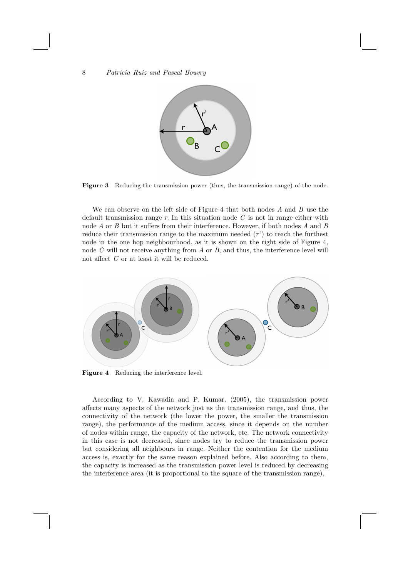

Figure 3 Reducing the transmission power (thus, the transmission range) of the node.

We can observe on the left side of Figure 4 that both nodes  $A$  and  $B$  use the default transmission range  $r$ . In this situation node  $C$  is not in range either with node A or B but it suffers from their interference. However, if both nodes A and B reduce their transmission range to the maximum needed  $(r')$  to reach the furthest node in the one hop neighbourhood, as it is shown on the right side of Figure 4, node C will not receive anything from A or B, and thus, the interference level will not affect C or at least it will be reduced.



Figure 4 Reducing the interference level.

According to V. Kawadia and P. Kumar. (2005), the transmission power affects many aspects of the network just as the transmission range, and thus, the connectivity of the network (the lower the power, the smaller the transmission range), the performance of the medium access, since it depends on the number of nodes within range, the capacity of the network, etc. The network connectivity in this case is not decreased, since nodes try to reduce the transmission power but considering all neighbours in range. Neither the contention for the medium access is, exactly for the same reason explained before. Also according to them, the capacity is increased as the transmission power level is reduced by decreasing the interference area (it is proportional to the square of the transmission range).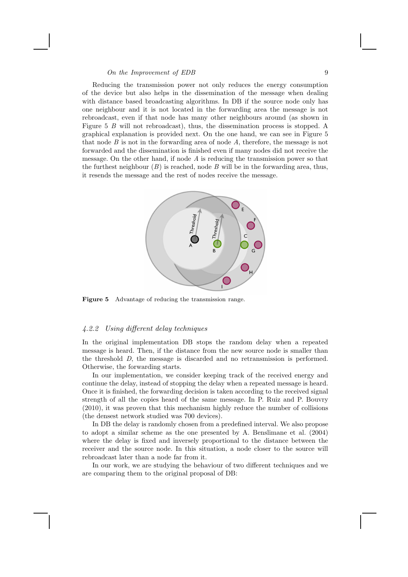## $\Omega$  the Improvement of EDB 9

Reducing the transmission power not only reduces the energy consumption of the device but also helps in the dissemination of the message when dealing with distance based broadcasting algorithms. In DB if the source node only has one neighbour and it is not located in the forwarding area the message is not rebroadcast, even if that node has many other neighbours around (as shown in Figure 5 B will not rebroadcast), thus, the dissemination process is stopped. A graphical explanation is provided next. On the one hand, we can see in Figure 5 that node  $B$  is not in the forwarding area of node  $A$ , therefore, the message is not forwarded and the dissemination is finished even if many nodes did not receive the message. On the other hand, if node A is reducing the transmission power so that the furthest neighbour  $(B)$  is reached, node B will be in the forwarding area, thus, it resends the message and the rest of nodes receive the message.



Figure 5 Advantage of reducing the transmission range.

## 4.2.2 Using different delay techniques

In the original implementation DB stops the random delay when a repeated message is heard. Then, if the distance from the new source node is smaller than the threshold D, the message is discarded and no retransmission is performed. Otherwise, the forwarding starts.

In our implementation, we consider keeping track of the received energy and continue the delay, instead of stopping the delay when a repeated message is heard. Once it is finished, the forwarding decision is taken according to the received signal strength of all the copies heard of the same message. In P. Ruiz and P. Bouvry (2010), it was proven that this mechanism highly reduce the number of collisions (the densest network studied was 700 devices).

In DB the delay is randomly chosen from a predefined interval. We also propose to adopt a similar scheme as the one presented by A. Benslimane et al. (2004) where the delay is fixed and inversely proportional to the distance between the receiver and the source node. In this situation, a node closer to the source will rebroadcast later than a node far from it.

In our work, we are studying the behaviour of two different techniques and we are comparing them to the original proposal of DB: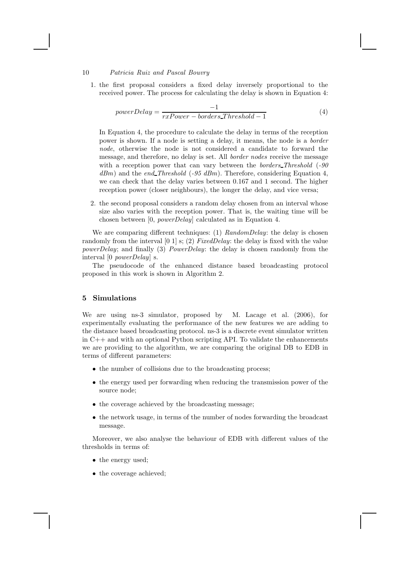1. the first proposal considers a fixed delay inversely proportional to the received power. The process for calculating the delay is shown in Equation 4:

$$
powerDelay = \frac{-1}{rxPower - borders\_Threshold - 1}
$$
\n(4)

In Equation 4, the procedure to calculate the delay in terms of the reception power is shown. If a node is setting a delay, it means, the node is a border node, otherwise the node is not considered a candidate to forward the message, and therefore, no delay is set. All border nodes receive the message with a reception power that can vary between the borders Threshold (-90)  $dBm$ ) and the end Threshold (-95 dBm). Therefore, considering Equation 4, we can check that the delay varies between 0.167 and 1 second. The higher reception power (closer neighbours), the longer the delay, and vice versa;

2. the second proposal considers a random delay chosen from an interval whose size also varies with the reception power. That is, the waiting time will be chosen between [0, powerDelay] calculated as in Equation 4.

We are comparing different techniques: (1)  $RandomDelay$ ; the delay is chosen randomly from the interval  $[0 1]$  s; (2) FixedDelay: the delay is fixed with the value powerDelay; and finally (3) PowerDelay: the delay is chosen randomly from the interval [0 powerDelay] s.

The pseudocode of the enhanced distance based broadcasting protocol proposed in this work is shown in Algorithm 2.

## 5 Simulations

We are using ns-3 simulator, proposed by M. Lacage et al. (2006), for experimentally evaluating the performance of the new features we are adding to the distance based broadcasting protocol. ns-3 is a discrete event simulator written in  $C++$  and with an optional Python scripting API. To validate the enhancements we are providing to the algorithm, we are comparing the original DB to EDB in terms of different parameters:

- the number of collisions due to the broadcasting process;
- the energy used per forwarding when reducing the transmission power of the source node;
- the coverage achieved by the broadcasting message;
- the network usage, in terms of the number of nodes forwarding the broadcast message.

Moreover, we also analyse the behaviour of EDB with different values of the thresholds in terms of:

- the energy used;
- the coverage achieved;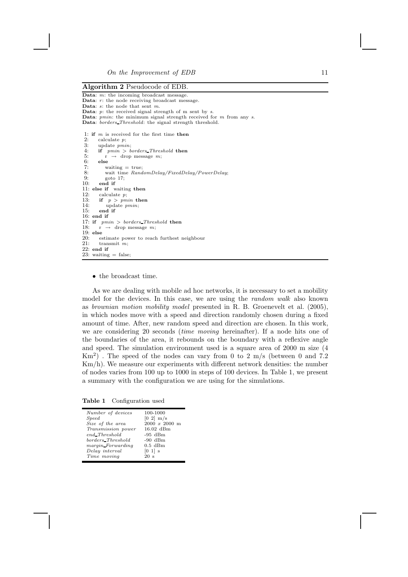#### Algorithm 2 Pseudocode of EDB.

```
Data: m: the incoming broadcast message.
Data: r: the node receiving broadcast message.
Data: s: the node that sent m.
Data: p: the received signal strength of m sent by s.
Data: pmin: the minimum signal strength received for m from any s.
Data: borders_Threshold: the signal strength threshold.
 1: if m is received for the first time then<br>?
 2: calculate p;<br>3: update pmi3: update pmin;<br>4: if pmin > b<br>5: r \rightarrow drop
        if pmin > borders_Threshold then
 5: \overrightarrow{r} \rightarrow \text{drop message } m;<br>6: else
        _{\rm else}7: waiting = true;<br>8: wait time Rand8: wait time RandomDelay/FixedDelay/PowerDelay;<br>9: \qquad soto 17:
9: \qquad \qquad \text{goto } 17;<br>10: \qquad \text{end if}end if
11: else if waiting then<br>12: calculate p:
12: calculate p;<br>13: if p > pm13: if p > pmin then<br>14: update pmin;
14: update pmin;<br>15: end if
         end if
16: and if
17: if pmin > borders\_Threshold then<br>18: r \rightarrow drop message m:
        r \rightarrow drop message m;
19: else
20: estimate power to reach furthest neighbour 21: transmit m.
        transmit m;
22: end if
23: waiting = false;
```
• the broadcast time.

As we are dealing with mobile ad hoc networks, it is necessary to set a mobility model for the devices. In this case, we are using the random walk also known as brownian motion mobility model presented in R. B. Groenevelt et al. (2005), in which nodes move with a speed and direction randomly chosen during a fixed amount of time. After, new random speed and direction are chosen. In this work, we are considering 20 seconds (time moving hereinafter). If a node hits one of the boundaries of the area, it rebounds on the boundary with a reflexive angle and speed. The simulation environment used is a square area of 2000 m size (4 Km<sup>2</sup>). The speed of the nodes can vary from 0 to 2 m/s (between 0 and 7.2 Km/h). We measure our experiments with different network densities: the number of nodes varies from 100 up to 1000 in steps of 100 devices. In Table 1, we present a summary with the configuration we are using for the simulations.

Table 1 Configuration used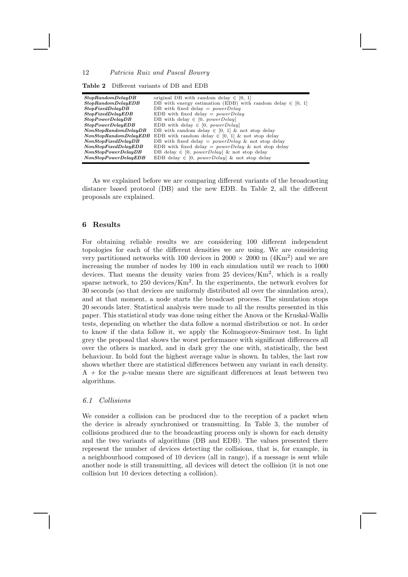| <b>Table 2</b> Different variants of DB and EDB |
|-------------------------------------------------|
|-------------------------------------------------|

| StopRandomDelayDB     | original DB with random delay $\in [0, 1]$                     |
|-----------------------|----------------------------------------------------------------|
| StopRandomDelayEDB    | DB with energy estimation (EDB) with random delay $\in$ [0, 1] |
| StopFixedDelayDB      | DB with fixed delay $= powerDelay$                             |
| StopFixedDelayEDB     | EDB with fixed delay $= powerDelay$                            |
| StopPowerDelayDB      | DB with delay $\in$ [0, powerDelay]                            |
| StopPowerDelayEDB     | EDB with delay $\in$ [0, powerDelay]                           |
| NonStopRandomDelayDB  | DB with random delay $\in$ [0, 1] & not stop delay             |
| NonStopRandomDelayEDB | EDB with random delay $\in$ [0, 1] & not stop delay            |
| NonStopFixedDelayDB   | DB with fixed delay = $powerDelay \&$ not stop delay           |
| NonStopFixedDelayEDB  | EDB with fixed delay = $powerDelay \&$ not stop delay          |
| NonStopPowerDelayDB   | DB delay $\in$ [0, <i>powerDelay</i> ] & not stop delay        |
| NonStopPowerDelayEDB  | EDB delay $\in$ [0, <i>powerDelay</i> ] & not stop delay       |

As we explained before we are comparing different variants of the broadcasting distance based protocol (DB) and the new EDB. In Table 2, all the different proposals are explained.

### 6 Results

For obtaining reliable results we are considering 100 different independent topologies for each of the different densities we are using. We are considering very partitioned networks with 100 devices in  $2000 \times 2000$  m  $(4 \text{Km}^2)$  and we are increasing the number of nodes by 100 in each simulation until we reach to 1000 devices. That means the density varies from 25 devices/Km<sup>2</sup>, which is a really sparse network, to  $250 \text{ devices/Km}^2$ . In the experiments, the network evolves for 30 seconds (so that devices are uniformly distributed all over the simulation area), and at that moment, a node starts the broadcast process. The simulation stops 20 seconds later. Statistical analysis were made to all the results presented in this paper. This statistical study was done using either the Anova or the Kruskal-Wallis tests, depending on whether the data follow a normal distribution or not. In order to know if the data follow it, we apply the Kolmogorov-Smirnov test. In light grey the proposal that shows the worst performance with significant differences all over the others is marked, and in dark grey the one with, statistically, the best behaviour. In bold font the highest average value is shown. In tables, the last row shows whether there are statistical differences between any variant in each density.  $A +$  for the p-value means there are significant differences at least between two algorithms.

# 6.1 Collisions

We consider a collision can be produced due to the reception of a packet when the device is already synchronised or transmitting. In Table 3, the number of collisions produced due to the broadcasting process only is shown for each density and the two variants of algorithms (DB and EDB). The values presented there represent the number of devices detecting the collisions, that is, for example, in a neighbourhood composed of 10 devices (all in range), if a message is sent while another node is still transmitting, all devices will detect the collision (it is not one collision but 10 devices detecting a collision).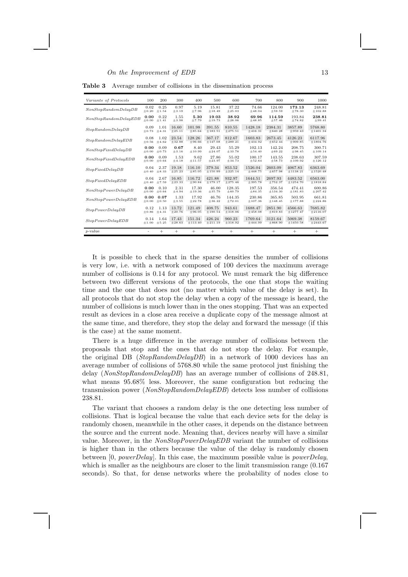$\Omega$  the Improvement of EDB 13

| Variants of Protocols | 100     | 200    | 300      | 400         | 500          | 600          | 700       | 800          | 900        | 1000          |
|-----------------------|---------|--------|----------|-------------|--------------|--------------|-----------|--------------|------------|---------------|
| NonStopRandomDelayDB  | 0.02    | 0.25   | 0.97     | 5.19        | 15.81        | 37.22        | 74.66     | 124.00       | 173.13     | 248.81        |
|                       | ± 0.20  | ±1.54  | ±3.19    | ±7.96       | ±18.49       | ±25.03       | ±48.04    | ±59.59       | ±78.30     | ±102.88       |
| NonStopRandomDelayEDB | 0.00    | 0.22   | 1.55     | 5.30        | 19.03        | 38.92        | 69.96     | 114.59       | 193.84     | 238.81        |
|                       | ± 0.00  | ±1.41  | ±3.98    | ±7.79       | ±19.73       | ±28.06       | ±48.85    | ± 57.46      | ±74.82     | ±99.41        |
| StopRandomDelayDB     | 0.09    | 1.01   | 16.60    | 101.98      | 391.55       | 810.55       | 1428.18   | 2384.31      | 3857.89    | 5768.80       |
|                       | $+0.73$ | ±4.31  | $+25.11$ | $\pm 85.64$ | $\pm 183.51$ | ±275.51      | ±416.31   | $\pm 640.28$ | ±959.43    | $\pm 1401.34$ |
| StopRandomDelayEDB    | 0.08    | 1.02   | 23.54    | 128.26      | 367.17       | 812.67       | 1603.83   | 2673.45      | 4126.23    | 6117.96       |
|                       | ± 0.56  | ±4.62  | $+32.88$ | $+96.66$    | ±147.08      | ±289.21      | ±434.92   | ± 652.44     | ±909.85    | $\pm 1804.76$ |
| NonStopFixedDelayDB   | 0.00    | 0.09   | 0.67     | 8.40        | 29.43        | 55.29        | 102.13    | 142.24       | 208.75     | 300.71        |
|                       | $+0.00$ | ±0.73  | $+3.16$  | $+10.99$    | $+24.07$     | $+33.78$     | $+54.40$  | $+69.22$     | $+98.45$   | ±109.14       |
| NonStopFixedDelayEDB  | 0.00    | 0.09   | 1.53     | 9.62        | 27.86        | 55.02        | 100.17    | 143.55       | 238.63     | 307.59        |
|                       | ± 0.00  | ±0.64  | ±4.18    | ±11.57      | ±23.97       | ±34.73       | ±52.64    | ±58.73       | ±109.92    | $+126.12$     |
| StopFixedDelayDB      | 0.04    | 2.37   | 19.18    | 116.10      | 379.34       | 853.52       | 1526.04   | 2603.09      | 4067.83    | 6363.69       |
|                       | $+0.40$ | ±8.33  | ± 25.23  | ±85.05      | ±150.99      | $\pm 225.14$ | ±448.75   | ± 657.98     | ±1138.21   | ±1520.48      |
| StopFixedDelayEDB     | 0.04    | 2.67   | 16.85    | 116.72      | 421.88       | 932.97       | 1644.51   | 2697.93      | 4483.52    | 6563.00       |
|                       | $+0.40$ | ±7.59  | $+23.33$ | $+90.84$    | $+179.17$    | $+275.46$    | ±395.78   | ±752.37      | ±1254.70   | $\pm 1818.84$ |
| NonStopPowerDelayDB   | 0.00    | 0.10   | 2.31     | 17.30       | 46.00        | 128.35       | 197.53    | 356.54       | 474.41     | 600.86        |
|                       | ± 0.00  | ±0.64  | ±4.94    | ±19.36      | ±35.79       | ± 60.79      | ±84.35    | ±134.30      | ±181.83    | ± 207.42      |
| NonStopPowerDelayEDB  | 0.00    | 0.07   | 1.33     | 17.92       | 46.76        | 144.35       | 230.86    | 365.85       | 503.95     | 661.81        |
|                       | ± 0.00  | ±0.50  | ±3.55    | ±22.78      | ±36.22       | ±72.01       | ±107.36   | ±148.45      | ±177.88    | ±224.86       |
| StopPowerDelayDB      | 0.12    | 1.13   | 13.72    | 121.49      | 408.75       | 943.61       | 1688.47   | 2851.90      | 4566.63    | 7685.82       |
|                       | $+0.86$ | ±4.31  | $+20.76$ | $+96.05$    | $+190.54$    | $+318.06$    | $+458.08$ | $+819.83$    | $+1277.47$ | $+2116.07$    |
| StopPowerDelayEDB     | 0.14    | 1.64   | 17.43    | 151.34      | 426.24       | 960.23       | 1769.64   | 3121.64      | 5069.38    | 8159.67       |
|                       | ±1.00   | ± 5.25 | ± 28.63  | $+113.40$   | $+211.19$    | $+318.92$    | $+444.99$ | $+868.90$    | ±1450.58   | $\pm 2443.67$ |
| $p$ -value            |         | $^{+}$ | $^{+}$   | $^{+}$      | $^{+}$       | $^{+}$       | $^{+}$    | $^{+}$       | $^{+}$     | $^{+}$        |

Table 3 Average number of collisions in the dissemination process

It is possible to check that in the sparse densities the number of collisions is very low, i.e. with a network composed of 100 devices the maximum average number of collisions is 0.14 for any protocol. We must remark the big difference between two different versions of the protocols, the one that stops the waiting time and the one that does not (no matter which value of the delay is set). In all protocols that do not stop the delay when a copy of the message is heard, the number of collisions is much lower than in the ones stopping. That was an expected result as devices in a close area receive a duplicate copy of the message almost at the same time, and therefore, they stop the delay and forward the message (if this is the case) at the same moment.

There is a huge difference in the average number of collisions between the proposals that stop and the ones that do not stop the delay. For example, the original DB (StopRandomDelayDB) in a network of 1000 devices has an average number of collisions of 5768.80 while the same protocol just finishing the delay (NonStopRandomDelayDB) has an average number of collisions of  $248.81$ , what means 95.68% less. Moreover, the same configuration but reducing the transmission power (NonStopRandomDelayEDB) detects less number of collisions 238.81.

The variant that chooses a random delay is the one detecting less number of collisions. That is logical because the value that each device sets for the delay is randomly chosen, meanwhile in the other cases, it depends on the distance between the source and the current node. Meaning that, devices nearby will have a similar value. Moreover, in the NonStopPowerDelayEDB variant the number of collisions is higher than in the others because the value of the delay is randomly chosen between [0, powerDelay]. In this case, the maximum possible value is powerDelay, which is smaller as the neighbours are closer to the limit transmission range  $(0.167)$ seconds). So that, for dense networks where the probability of nodes close to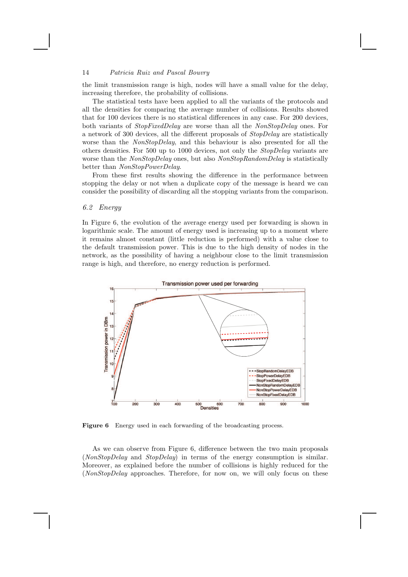the limit transmission range is high, nodes will have a small value for the delay, increasing therefore, the probability of collisions.

The statistical tests have been applied to all the variants of the protocols and all the densities for comparing the average number of collisions. Results showed that for 100 devices there is no statistical differences in any case. For 200 devices, both variants of StopFixedDelay are worse than all the NonStopDelay ones. For a network of 300 devices, all the different proposals of StopDelay are statistically worse than the NonStopDelay, and this behaviour is also presented for all the others densities. For 500 up to 1000 devices, not only the StopDelay variants are worse than the *NonStopDelay* ones, but also *NonStopRandomDelay* is statistically better than NonStopPowerDelay.

From these first results showing the difference in the performance between stopping the delay or not when a duplicate copy of the message is heard we can consider the possibility of discarding all the stopping variants from the comparison.

## 6.2 Energy

In Figure 6, the evolution of the average energy used per forwarding is shown in logarithmic scale. The amount of energy used is increasing up to a moment where it remains almost constant (little reduction is performed) with a value close to the default transmission power. This is due to the high density of nodes in the network, as the possibility of having a neighbour close to the limit transmission range is high, and therefore, no energy reduction is performed.



Figure 6 Energy used in each forwarding of the broadcasting process.

As we can observe from Figure 6, difference between the two main proposals (NonStopDelay and StopDelay) in terms of the energy consumption is similar. Moreover, as explained before the number of collisions is highly reduced for the (NonStopDelay approaches. Therefore, for now on, we will only focus on these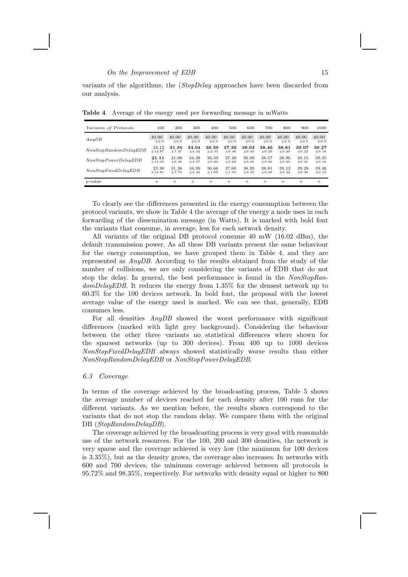#### $\emph{On the Improvement of EDB}$  15

variants of the algorithms, the (StopDelay approaches have been discarded from our analysis.

| Variants of Protocols | 100      | 200     | 300     | 400     | 500     | 600     | 700     | 800     | 900     | 1000      |
|-----------------------|----------|---------|---------|---------|---------|---------|---------|---------|---------|-----------|
| AnyDB                 | 40.00    | 40.00   | 40.00   | 40.00   | 40.00   | 40.00   | 40.00   | 40.00   | 40.00   | 40.00     |
|                       | $+0.0$   | $+0.0$  | $+0.0$  | $+0.0$  | $+0.0$  | $+0.0$  | $+0.0$  | $+0.0$  | $+0.0$  | $\pm 0.0$ |
| NonStopRandomDelayEDB | 24.12    | 31.35   | 34.04   | 36.30   | 37.39   | 38.03   | 38.46   | 38.81   | 39.07   | 39.27     |
|                       | $+12.87$ | $+7.47$ | $+4.32$ | $+2.33$ | $+0.46$ | $+0.42$ | $+0.29$ | $+0.29$ | $+0.22$ | $+0.18$   |
| NonStopPowerDelayEDB  | 21.11    | 31.98   | 34.38   | 36.50   | 37.48   | 38.09   | 38.57   | 38.96   | 39.15   | 39.35     |
|                       | $+13.03$ | $+6.26$ | $+4.57$ | $+0.93$ | $+0.69$ | $+0.40$ | $+0.30$ | $+0.25$ | $+0.21$ | $+0.16$   |
| NonStopFixedDelayEDB  | 23.30    | 31.36   | 34.99   | 36.66   | 37.60   | 38.39   | 38.81   | 39.13   | 39.28   | 39.46     |
|                       | $+12.81$ | $+7.74$ | $+4.22$ | $+1.69$ | $+1.93$ | $+0.32$ | $+0.28$ | $+0.22$ | $+0.48$ | $+0.16$   |
| $p$ -value            | $^{+}$   | $^+$    | $^+$    | $^+$    | $^+$    | $\pm$   | $\div$  | $\div$  | $^+$    | $^+$      |

Table 4 Average of the energy used per forwarding message in mWatts

To clearly see the differences presented in the energy consumption between the protocol variants, we show in Table 4 the average of the energy a node uses in each forwarding of the dissemination message (in Watts). It is marked with bold font the variants that consume, in average, less for each network density.

All variants of the original DB protocol consume 40 mW (16.02 dBm), the default transmission power. As all these DB variants present the same behaviour for the energy consumption, we have grouped them in Table 4, and they are represented as AnyDB. According to the results obtained from the study of the number of collisions, we are only considering the variants of EDB that do not stop the delay. In general, the best performance is found in the NonStopRandomDelayEDB. It reduces the energy from 1.35% for the densest network up to 60.3% for the 100 devices network. In bold font, the proposal with the lowest average value of the energy used is marked. We can see that, generally, EDB consumes less.

For all densities AnyDB showed the worst performance with significant differences (marked with light grey background). Considering the behaviour between the other three variants no statistical differences where shown for the sparsest networks (up to 300 devices). From 400 up to 1000 devices NonStopFixedDelayEDB always showed statistically worse results than either NonStopRandomDelayEDB or NonStopPowerDelayEDB.

# 6.3 Coverage

In terms of the coverage achieved by the broadcasting process, Table 5 shows the average number of devices reached for each density after 100 runs for the different variants. As we mention before, the results shown correspond to the variants that do not stop the random delay. We compare them with the original DB (StopRandomDelayDB).

The coverage achieved by the broadcasting process is very good with reasonable use of the network resources. For the 100, 200 and 300 densities, the network is very sparse and the coverage achieved is very low (the minimum for 100 devices is 3.35%), but as the density grows, the coverage also increases. In networks with 600 and 700 devices, the minimum coverage achieved between all protocols is 95.72% and 98.35%, respectively. For networks with density equal or higher to 800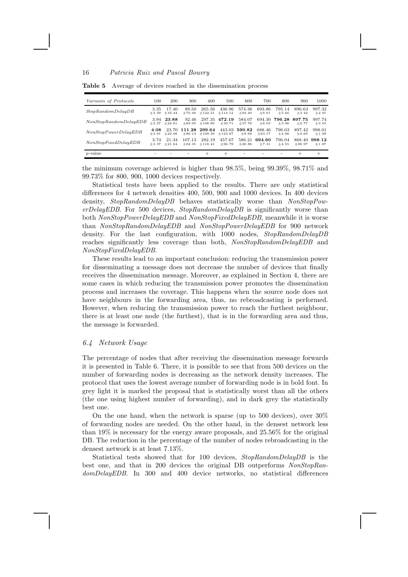| Variants of Protocols | 100     | 200      | 300      | 400       | 500       | 600                      | 700                      | 800     | 900      | 1000    |
|-----------------------|---------|----------|----------|-----------|-----------|--------------------------|--------------------------|---------|----------|---------|
| StopRandomDelayDB     | 3.35    | 17.40    | 89.50    | 265.56    | 436.96    | 574.36                   | 693.86                   | 795.14  | 896.63   | 997.32  |
|                       | $+3.39$ | $+16.44$ | $+70.48$ | $+122.31$ | $+114.12$ | $+84.40$                 | $+6.01$                  | $+5.60$ | $+3.42$  | $+2.91$ |
| NonStopRandomDelayEDB | 3.94    | 23.88    | 92.46    | 297.35    | 472.19    | 584.07                   | 694.30                   | 796.28  | 897.75   | 997.74  |
|                       | $+3.27$ | $+22.61$ | $+69.00$ | $+108.89$ | $+30.71$  | $+57.76$                 | $+6.02$                  | $+3.96$ | $+2.77$  | $+3.03$ |
| NonStopPowerDelayEDB  | 4.08    | 23.70    | 111.28   | 299.64    | 443.03    | 590.82                   | 688.46                   | 796.03  | 897.42   | 998.01  |
|                       | $+3.91$ | $+22.06$ | $+86.13$ | ±109.39   | $+123.87$ | $+8.69$                  | $+63.17$                 | $+4.96$ | $+2.69$  | $+1.99$ |
| NonStopFixedDelayEDB  | 3.74    | 21.34    | 107.13   | 282.19    | 457.67    | 586.21                   | 694.60                   | 796.04  | 888.40   | 998.12  |
|                       | $+3.37$ | $+21.64$ | $+82.35$ | $+118.41$ | $+96.79$  | $+20.86$                 | $+7.31$                  | $+4.55$ | $+88.97$ | $+1.87$ |
| $p$ -value            | -       | -        |          | $\div$    | $\pm$     | $\overline{\phantom{a}}$ | $\overline{\phantom{a}}$ |         | $\pm$    | $^+$    |

Table 5 Average of devices reached in the dissemination process

the minimum coverage achieved is higher than 98.5%, being 99.39%, 98.71% and 99.73% for 800, 900, 1000 devices respectively.

Statistical tests have been applied to the results. There are only statistical differences for 4 network densities 400, 500, 900 and 1000 devices. In 400 devices density, StopRandomDelayDB behaves statistically worse than NonStopPow $erDelayEDB$ . For 500 devices,  $StopRandomDelayDB$  is significantly worse than both NonStopPowerDelayEDB and NonStopFixedDelayEDB, meanwhile it is worse than NonStopRandomDelayEDB and NonStopPowerDelayEDB for 900 network density. For the last configuration, with 1000 nodes, StopRandomDelayDB reaches significantly less coverage than both, NonStopRandomDelayEDB and NonStopFixedDelayEDB.

These results lead to an important conclusion: reducing the transmission power for disseminating a message does not decrease the number of devices that finally receives the dissemination message. Moreover, as explained in Section 4, there are some cases in which reducing the transmission power promotes the dissemination process and increases the coverage. This happens when the source node does not have neighbours in the forwarding area, thus, no rebroadcasting is performed. However, when reducing the transmission power to reach the furthest neighbour, there is at least one node (the furthest), that is in the forwarding area and thus, the message is forwarded.

## 6.4 Network Usage

The percentage of nodes that after receiving the dissemination message forwards it is presented in Table 6. There, it is possible to see that from 500 devices on the number of forwarding nodes is decreasing as the network density increases. The protocol that uses the lowest average number of forwarding node is in bold font. In grey light it is marked the proposal that is statistically worst than all the others (the one using highest number of forwarding), and in dark grey the statistically best one.

On the one hand, when the network is sparse (up to 500 devices), over  $30\%$ of forwarding nodes are needed. On the other hand, in the densest network less than 19% is necessary for the energy aware proposals, and 25.56% for the original DB. The reduction in the percentage of the number of nodes rebroadcasting in the densest network is at least 7.13%.

Statistical tests showed that for 100 devices, StopRandomDelayDB is the best one, and that in 200 devices the original DB outperforms NonStopRandomDelayEDB. In 300 and 400 device networks, no statistical differences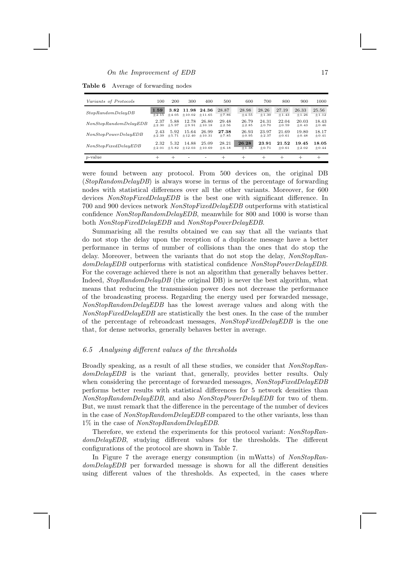## $\Omega$  the Improvement of EDB 17

Table 6 Average of forwarding nodes

| Variants of Protocols | 100             | 200     | 300                    | 400               | 500              | 600              | 700              | 800              | 900              | 1000             |
|-----------------------|-----------------|---------|------------------------|-------------------|------------------|------------------|------------------|------------------|------------------|------------------|
| StopRandomDelayDB     | 1.59<br>$+2.15$ | $+4.05$ | 3.82 11.98<br>$+10.02$ | 24.36<br>$+11.65$ | 28.87<br>$+7.86$ | 28.98<br>$+4.55$ | 28.26<br>$+1.30$ | 27.19<br>$+1.43$ | 26.33<br>$+1.26$ | 25.56<br>$+1.12$ |
| NonStopRandomDelayEDB | 2.37            | 5.88    | 12.78                  | 26.80             | 29.48            | 26.79            | 24.31            | 22.04            | 20.03            | 18.43            |
|                       | $+2.30$         | $+5.97$ | $+9.91$                | $+10.18$          | $+2.56$          | $+2.85$          | $+0.70$          | $+0.59$          | $+0.43$          | $+0.46$          |
| NonStopPowerDelayEDB  | 2.43            | 5.92    | 15.64                  | 26.99             | 27.38            | 26.93            | 23.97            | 21.69            | 19.80            | 18.17            |
|                       | $+2.39$         | $+5.71$ | $+12.40$               | $+10.31$          | $+7.85$          | $+0.95$          | $+2.37$          | $+0.61$          | $+0.48$          | $+0.41$          |
| NonStopFixedDelayEDB  | 2.32            | 5.32    | 14.88                  | 25.09             | 28.21            | 26.28            | 23.91            | 21.52            | 19.45            | 18.05            |
|                       | $+2.01$         | $+5.82$ | $+12.03$               | $+10.69$          | $+6.18$          | $+1.38$          | $+0.71$          | $+0.61$          | $+2.02$          | $+0.44$          |
| $p$ -value            | $^+$            | $^+$    |                        |                   | $^{+}$           | $\pm$            | $\pm$            | $^+$             | $^{+}$           | $^+$             |

were found between any protocol. From 500 devices on, the original DB (StopRandomDelayDB) is always worse in terms of the percentage of forwarding nodes with statistical differences over all the other variants. Moreover, for 600 devices NonStopFixedDelayEDB is the best one with significant difference. In 700 and 900 devices network NonStopFixedDelayEDB outperforms with statistical confidence NonStopRandomDelayEDB, meanwhile for 800 and 1000 is worse than both NonStopFixedDelayEDB and NonStopPowerDelayEDB.

Summarising all the results obtained we can say that all the variants that do not stop the delay upon the reception of a duplicate message have a better performance in terms of number of collisions than the ones that do stop the delay. Moreover, between the variants that do not stop the delay, NonStopRandomDelayEDB outperforms with statistical confidence NonStopPowerDelayEDB. For the coverage achieved there is not an algorithm that generally behaves better. Indeed, *StopRandomDelayDB* (the original DB) is never the best algorithm, what means that reducing the transmission power does not decrease the performance of the broadcasting process. Regarding the energy used per forwarded message, NonStopRandomDelayEDB has the lowest average values and along with the NonStopFixedDelayEDB are statistically the best ones. In the case of the number of the percentage of rebroadcast messages, NonStopFixedDelayEDB is the one that, for dense networks, generally behaves better in average.

## 6.5 Analysing different values of the thresholds

Broadly speaking, as a result of all these studies, we consider that NonStopRandomDelayEDB is the variant that, generally, provides better results. Only when considering the percentage of forwarded messages,  $NonStopFixedDelayEDB$ performs better results with statistical differences for 5 network densities than NonStopRandomDelayEDB, and also NonStopPowerDelayEDB for two of them. But, we must remark that the difference in the percentage of the number of devices in the case of NonStopRandomDelayEDB compared to the other variants, less than 1% in the case of NonStopRandomDelayEDB.

Therefore, we extend the experiments for this protocol variant: NonStopRandomDelayEDB, studying different values for the thresholds. The different configurations of the protocol are shown in Table 7.

In Figure 7 the average energy consumption (in mWatts) of NonStopRandomDelayEDB per forwarded message is shown for all the different densities using different values of the thresholds. As expected, in the cases where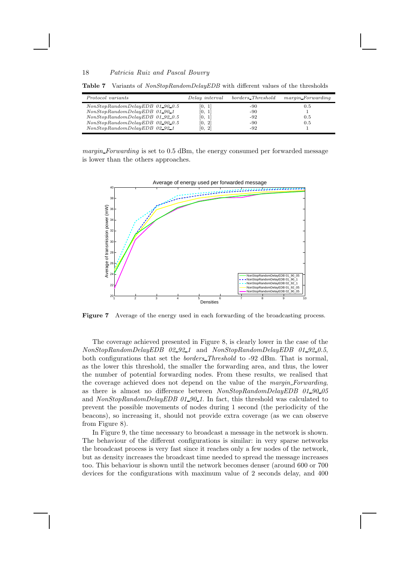| Protocol variants                 | Delay interval                       | borders_Threshold | margin_Forwarding |
|-----------------------------------|--------------------------------------|-------------------|-------------------|
| $NonStopRandomDelayEDB$ 01_90_0.5 | $\begin{bmatrix} 0, 1 \end{bmatrix}$ | -90               | 0.5               |
| $NonStopRandomDelayEDB$ 01_90_1   | [0, 1]                               | -90               |                   |
| $NonStopRandomDelayEDB$ 01_92_0.5 | [0, 1]                               | -92               | 0.5               |
| $NonStopRandomDelayEDB$ 02.90.0.5 | [0, 2]                               | -90               | 0.5               |
| NonStopRandomDelayEDB 02.92.1     | [0, 2]                               | -92               |                   |

Table 7 Variants of NonStopRandomDelayEDB with different values of the thresholds

margin Forwarding is set to 0.5 dBm, the energy consumed per forwarded message is lower than the others approaches.



Figure 7 Average of the energy used in each forwarding of the broadcasting process.

The coverage achieved presented in Figure 8, is clearly lower in the case of the NonStopRandomDelayEDB 02 92 1 and NonStopRandomDelayEDB 01 92 0.5, both configurations that set the borders Threshold to -92 dBm. That is normal, as the lower this threshold, the smaller the forwarding area, and thus, the lower the number of potential forwarding nodes. From these results, we realised that the coverage achieved does not depend on the value of the margin Forwarding, as there is almost no difference between  $NonStopRandomDelayEDB$  01\_90\_05 and  $NonStopRandomDelayEDB 01_90_1$ . In fact, this threshold was calculated to prevent the possible movements of nodes during 1 second (the periodicity of the beacons), so increasing it, should not provide extra coverage (as we can observe from Figure 8).

In Figure 9, the time necessary to broadcast a message in the network is shown. The behaviour of the different configurations is similar: in very sparse networks the broadcast process is very fast since it reaches only a few nodes of the network, but as density increases the broadcast time needed to spread the message increases too. This behaviour is shown until the network becomes denser (around 600 or 700 devices for the configurations with maximum value of 2 seconds delay, and 400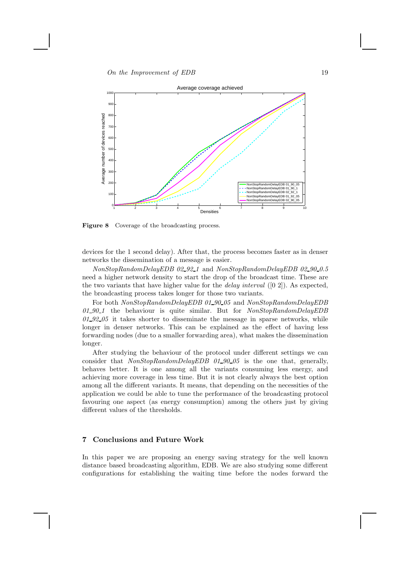

Figure 8 Coverage of the broadcasting process.

devices for the 1 second delay). After that, the process becomes faster as in denser networks the dissemination of a message is easier.

NonStopRandomDelayEDB 02\_92\_1 and NonStopRandomDelayEDB 02\_90\_0.5 need a higher network density to start the drop of the broadcast time. These are the two variants that have higher value for the *delay interval*  $([0 2])$ . As expected, the broadcasting process takes longer for those two variants.

For both NonStopRandomDelayEDB 01\_90\_05 and NonStopRandomDelayEDB  $01-90-1$  the behaviour is quite similar. But for  $NonStopRandomDelayEDB$  $01-92-05$  it takes shorter to disseminate the message in sparse networks, while longer in denser networks. This can be explained as the effect of having less forwarding nodes (due to a smaller forwarding area), what makes the dissemination longer.

After studying the behaviour of the protocol under different settings we can consider that  $NonStopRandomDelayEDB$  01-90-05 is the one that, generally, behaves better. It is one among all the variants consuming less energy, and achieving more coverage in less time. But it is not clearly always the best option among all the different variants. It means, that depending on the necessities of the application we could be able to tune the performance of the broadcasting protocol favouring one aspect (as energy consumption) among the others just by giving different values of the thresholds.

## 7 Conclusions and Future Work

In this paper we are proposing an energy saving strategy for the well known distance based broadcasting algorithm, EDB. We are also studying some different configurations for establishing the waiting time before the nodes forward the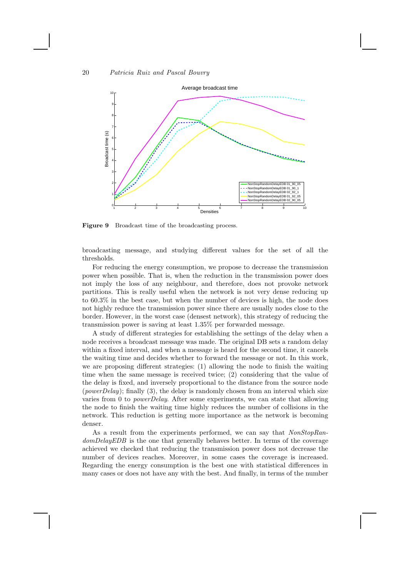

Figure 9 Broadcast time of the broadcasting process.

broadcasting message, and studying different values for the set of all the thresholds.

For reducing the energy consumption, we propose to decrease the transmission power when possible. That is, when the reduction in the transmission power does not imply the loss of any neighbour, and therefore, does not provoke network partitions. This is really useful when the network is not very dense reducing up to 60.3% in the best case, but when the number of devices is high, the node does not highly reduce the transmission power since there are usually nodes close to the border. However, in the worst case (densest network), this strategy of reducing the transmission power is saving at least 1.35% per forwarded message.

A study of different strategies for establishing the settings of the delay when a node receives a broadcast message was made. The original DB sets a random delay within a fixed interval, and when a message is heard for the second time, it cancels the waiting time and decides whether to forward the message or not. In this work, we are proposing different strategies: (1) allowing the node to finish the waiting time when the same message is received twice; (2) considering that the value of the delay is fixed, and inversely proportional to the distance from the source node (*powerDelay*); finally  $(3)$ , the delay is randomly chosen from an interval which size varies from 0 to powerDelay. After some experiments, we can state that allowing the node to finish the waiting time highly reduces the number of collisions in the network. This reduction is getting more importance as the network is becoming denser.

As a result from the experiments performed, we can say that  $NonStopRan$ domDelayEDB is the one that generally behaves better. In terms of the coverage achieved we checked that reducing the transmission power does not decrease the number of devices reaches. Moreover, in some cases the coverage is increased. Regarding the energy consumption is the best one with statistical differences in many cases or does not have any with the best. And finally, in terms of the number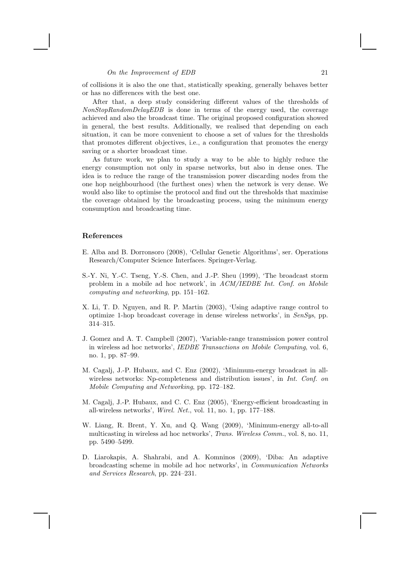#### On the Improvement of EDB 21

of collisions it is also the one that, statistically speaking, generally behaves better or has no differences with the best one.

After that, a deep study considering different values of the thresholds of NonStopRandomDelayEDB is done in terms of the energy used, the coverage achieved and also the broadcast time. The original proposed configuration showed in general, the best results. Additionally, we realised that depending on each situation, it can be more convenient to choose a set of values for the thresholds that promotes different objectives, i.e., a configuration that promotes the energy saving or a shorter broadcast time.

As future work, we plan to study a way to be able to highly reduce the energy consumption not only in sparse networks, but also in dense ones. The idea is to reduce the range of the transmission power discarding nodes from the one hop neighbourhood (the furthest ones) when the network is very dense. We would also like to optimise the protocol and find out the thresholds that maximise the coverage obtained by the broadcasting process, using the minimum energy consumption and broadcasting time.

## References

- E. Alba and B. Dorronsoro (2008), 'Cellular Genetic Algorithms', ser. Operations Research/Computer Science Interfaces. Springer-Verlag.
- S.-Y. Ni, Y.-C. Tseng, Y.-S. Chen, and J.-P. Sheu (1999), 'The broadcast storm problem in a mobile ad hoc network', in  $ACM/IEDBE$  Int. Conf. on Mobile computing and networking, pp. 151–162.
- X. Li, T. D. Nguyen, and R. P. Martin (2003), 'Using adaptive range control to optimize 1-hop broadcast coverage in dense wireless networks', in SenSys, pp. 314–315.
- J. Gomez and A. T. Campbell (2007), 'Variable-range transmission power control in wireless ad hoc networks', IEDBE Transactions on Mobile Computing, vol. 6, no. 1, pp. 87–99.
- M. Cagalj, J.-P. Hubaux, and C. Enz (2002), 'Minimum-energy broadcast in allwireless networks: Np-completeness and distribution issues', in Int. Conf. on Mobile Computing and Networking, pp. 172–182.
- M. Cagalj, J.-P. Hubaux, and C. C. Enz (2005), 'Energy-efficient broadcasting in all-wireless networks', Wirel. Net., vol. 11, no. 1, pp. 177–188.
- W. Liang, R. Brent, Y. Xu, and Q. Wang (2009), 'Minimum-energy all-to-all multicasting in wireless ad hoc networks', Trans. Wireless Comm., vol. 8, no. 11, pp. 5490–5499.
- D. Liarokapis, A. Shahrabi, and A. Komninos (2009), 'Diba: An adaptive broadcasting scheme in mobile ad hoc networks', in Communication Networks and Services Research, pp. 224–231.